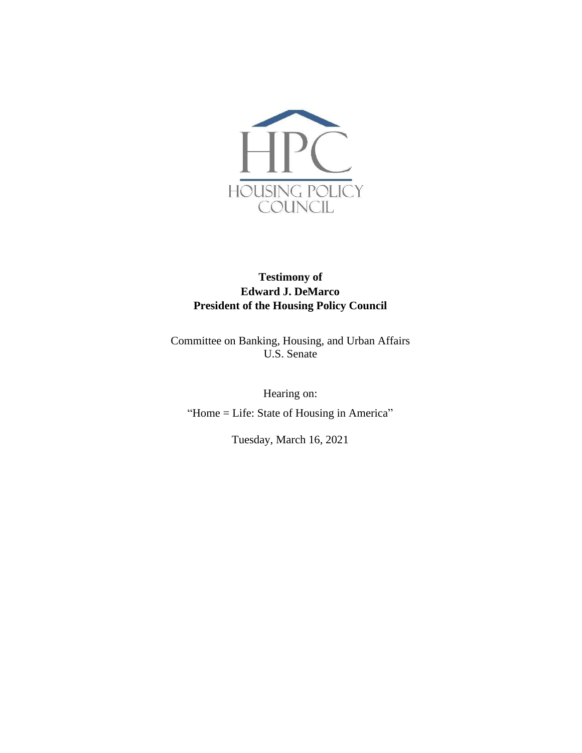

# **Testimony of Edward J. DeMarco President of the Housing Policy Council**

Committee on Banking, Housing, and Urban Affairs U.S. Senate

Hearing on: "Home = Life: State of Housing in America"

Tuesday, March 16, 2021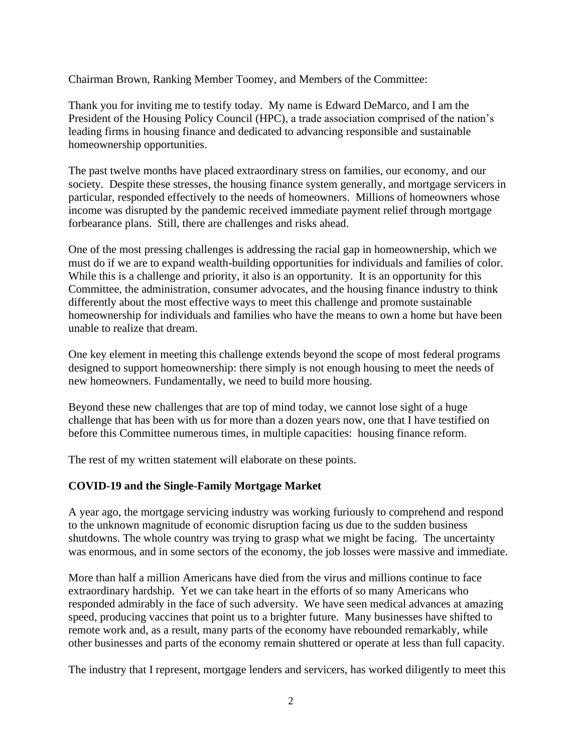Chairman Brown, Ranking Member Toomey, and Members of the Committee:

Thank you for inviting me to testify today. My name is Edward DeMarco, and I am the President of the Housing Policy Council (HPC), a trade association comprised of the nation's leading firms in housing finance and dedicated to advancing responsible and sustainable homeownership opportunities.

The past twelve months have placed extraordinary stress on families, our economy, and our society. Despite these stresses, the housing finance system generally, and mortgage servicers in particular, responded effectively to the needs of homeowners. Millions of homeowners whose income was disrupted by the pandemic received immediate payment relief through mortgage forbearance plans. Still, there are challenges and risks ahead.

One of the most pressing challenges is addressing the racial gap in homeownership, which we must do if we are to expand wealth-building opportunities for individuals and families of color. While this is a challenge and priority, it also is an opportunity. It is an opportunity for this Committee, the administration, consumer advocates, and the housing finance industry to think differently about the most effective ways to meet this challenge and promote sustainable homeownership for individuals and families who have the means to own a home but have been unable to realize that dream.

One key element in meeting this challenge extends beyond the scope of most federal programs designed to support homeownership: there simply is not enough housing to meet the needs of new homeowners. Fundamentally, we need to build more housing.

Beyond these new challenges that are top of mind today, we cannot lose sight of a huge challenge that has been with us for more than a dozen years now, one that I have testified on before this Committee numerous times, in multiple capacities: housing finance reform.

The rest of my written statement will elaborate on these points.

### **COVID-19 and the Single-Family Mortgage Market**

A year ago, the mortgage servicing industry was working furiously to comprehend and respond to the unknown magnitude of economic disruption facing us due to the sudden business shutdowns. The whole country was trying to grasp what we might be facing. The uncertainty was enormous, and in some sectors of the economy, the job losses were massive and immediate.

More than half a million Americans have died from the virus and millions continue to face extraordinary hardship. Yet we can take heart in the efforts of so many Americans who responded admirably in the face of such adversity. We have seen medical advances at amazing speed, producing vaccines that point us to a brighter future. Many businesses have shifted to remote work and, as a result, many parts of the economy have rebounded remarkably, while other businesses and parts of the economy remain shuttered or operate at less than full capacity.

The industry that I represent, mortgage lenders and servicers, has worked diligently to meet this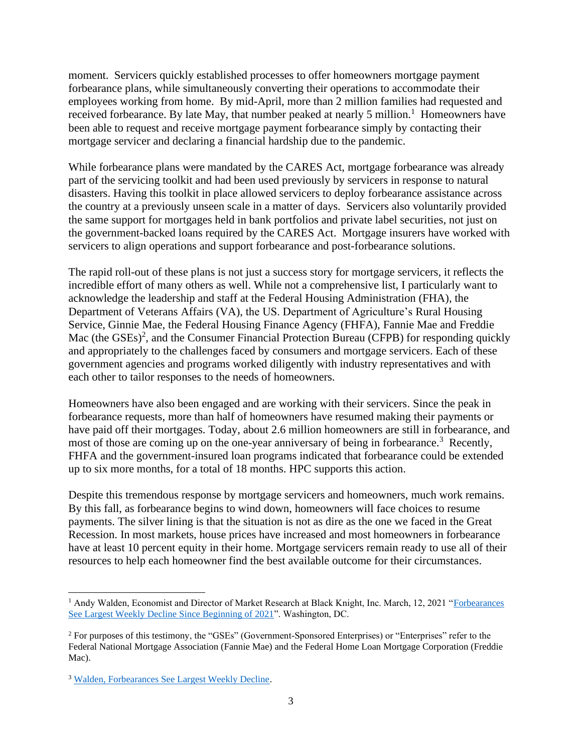moment. Servicers quickly established processes to offer homeowners mortgage payment forbearance plans, while simultaneously converting their operations to accommodate their employees working from home. By mid-April, more than 2 million families had requested and received forbearance. By late May, that number peaked at nearly 5 million.<sup>1</sup> Homeowners have been able to request and receive mortgage payment forbearance simply by contacting their mortgage servicer and declaring a financial hardship due to the pandemic.

While forbearance plans were mandated by the CARES Act, mortgage forbearance was already part of the servicing toolkit and had been used previously by servicers in response to natural disasters. Having this toolkit in place allowed servicers to deploy forbearance assistance across the country at a previously unseen scale in a matter of days. Servicers also voluntarily provided the same support for mortgages held in bank portfolios and private label securities, not just on the government-backed loans required by the CARES Act. Mortgage insurers have worked with servicers to align operations and support forbearance and post-forbearance solutions.

The rapid roll-out of these plans is not just a success story for mortgage servicers, it reflects the incredible effort of many others as well. While not a comprehensive list, I particularly want to acknowledge the leadership and staff at the Federal Housing Administration (FHA), the Department of Veterans Affairs (VA), the US. Department of Agriculture's Rural Housing Service, Ginnie Mae, the Federal Housing Finance Agency (FHFA), Fannie Mae and Freddie Mac (the GSEs)<sup>2</sup>, and the Consumer Financial Protection Bureau (CFPB) for responding quickly and appropriately to the challenges faced by consumers and mortgage servicers. Each of these government agencies and programs worked diligently with industry representatives and with each other to tailor responses to the needs of homeowners.

Homeowners have also been engaged and are working with their servicers. Since the peak in forbearance requests, more than half of homeowners have resumed making their payments or have paid off their mortgages. Today, about 2.6 million homeowners are still in forbearance, and most of those are coming up on the one-year anniversary of being in forbearance.<sup>3</sup> Recently, FHFA and the government-insured loan programs indicated that forbearance could be extended up to six more months, for a total of 18 months. HPC supports this action.

Despite this tremendous response by mortgage servicers and homeowners, much work remains. By this fall, as forbearance begins to wind down, homeowners will face choices to resume payments. The silver lining is that the situation is not as dire as the one we faced in the Great Recession. In most markets, house prices have increased and most homeowners in forbearance have at least 10 percent equity in their home. Mortgage servicers remain ready to use all of their resources to help each homeowner find the best available outcome for their circumstances.

<sup>&</sup>lt;sup>1</sup> Andy Walden, Economist and Director of Market Research at Black Knight, Inc. March, 12, 2021 "Forbearances" See [Largest Weekly Decline Since Beginning of 2021"](https://www.blackknightinc.com/blog-posts/forbearances-see-largest-weekly-decline-since-beginning-of-2021/). Washington, DC.

<sup>&</sup>lt;sup>2</sup> For purposes of this testimony, the "GSEs" (Government-Sponsored Enterprises) or "Enterprises" refer to the Federal National Mortgage Association (Fannie Mae) and the Federal Home Loan Mortgage Corporation (Freddie Mac).

<sup>3</sup> [Walden, Forbearances See Largest Weekly Decline.](https://www.blackknightinc.com/blog-posts/forbearances-see-largest-weekly-decline-since-beginning-of-2021/)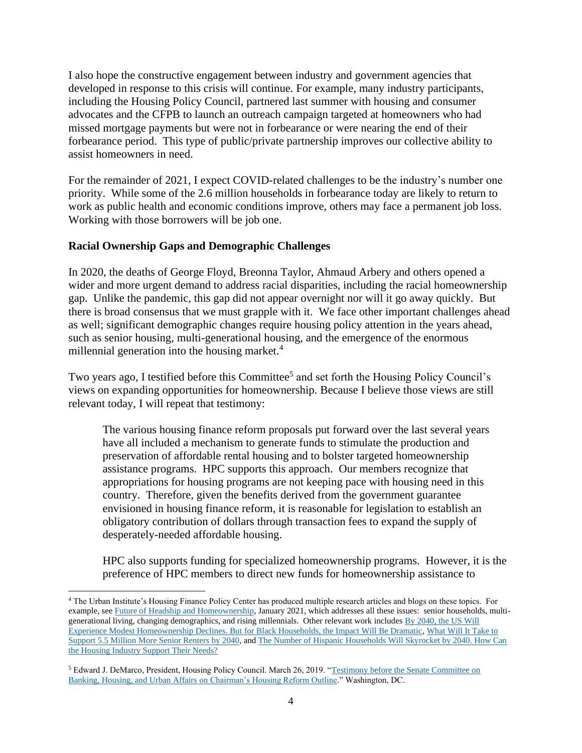I also hope the constructive engagement between industry and government agencies that developed in response to this crisis will continue. For example, many industry participants, including the Housing Policy Council, partnered last summer with housing and consumer advocates and the CFPB to launch an outreach campaign targeted at homeowners who had missed mortgage payments but were not in forbearance or were nearing the end of their forbearance period. This type of public/private partnership improves our collective ability to assist homeowners in need.

For the remainder of 2021, I expect COVID-related challenges to be the industry's number one priority. While some of the 2.6 million households in forbearance today are likely to return to work as public health and economic conditions improve, others may face a permanent job loss. Working with those borrowers will be job one.

#### **Racial Ownership Gaps and Demographic Challenges**

In 2020, the deaths of George Floyd, Breonna Taylor, Ahmaud Arbery and others opened a wider and more urgent demand to address racial disparities, including the racial homeownership gap. Unlike the pandemic, this gap did not appear overnight nor will it go away quickly. But there is broad consensus that we must grapple with it. We face other important challenges ahead as well; significant demographic changes require housing policy attention in the years ahead, such as senior housing, multi-generational housing, and the emergence of the enormous millennial generation into the housing market. $4$ 

Two years ago, I testified before this Committee<sup>5</sup> and set forth the Housing Policy Council's views on expanding opportunities for homeownership. Because I believe those views are still relevant today, I will repeat that testimony:

The various housing finance reform proposals put forward over the last several years have all included a mechanism to generate funds to stimulate the production and preservation of affordable rental housing and to bolster targeted homeownership assistance programs. HPC supports this approach. Our members recognize that appropriations for housing programs are not keeping pace with housing need in this country. Therefore, given the benefits derived from the government guarantee envisioned in housing finance reform, it is reasonable for legislation to establish an obligatory contribution of dollars through transaction fees to expand the supply of desperately-needed affordable housing.

HPC also supports funding for specialized homeownership programs. However, it is the preference of HPC members to direct new funds for homeownership assistance to

<sup>4</sup> The Urban Institute's Housing Finance Policy Center has produced multiple research articles and blogs on these topics. For example, se[e Future of Headship and Homeownership,](https://www.urban.org/research/publication/future-headship-and-homeownership) January 2021, which addresses all these issues: senior households, multigenerational living, changing demographics, and rising millennials. Other relevant work includes [By 2040, the US Will](https://www.urban.org/urban-wire/2040-us-will-experience-modest-homeownership-declines-black-households-impact-will-be-dramatic)  [Experience Modest Homeownership Declines. But for Black Households, the Impact Will Be Dramatic,](https://www.urban.org/urban-wire/2040-us-will-experience-modest-homeownership-declines-black-households-impact-will-be-dramatic) [What Will It Take to](https://www.urban.org/urban-wire/what-will-it-take-support-55-million-more-senior-renters-2040)  [Support 5.5 Million More Senior Renters by 2040,](https://www.urban.org/urban-wire/what-will-it-take-support-55-million-more-senior-renters-2040) an[d The Number of Hispanic Households Will Skyrocket by 2040. How Can](https://www.urban.org/urban-wire/number-hispanic-households-will-skyrocket-2040-how-can-housing-industry-support-their-needs)  [the Housing Industry Support Their Needs?](https://www.urban.org/urban-wire/number-hispanic-households-will-skyrocket-2040-how-can-housing-industry-support-their-needs)

<sup>5</sup> Edward J. DeMarco, President, Housing Policy Council. March 26, 2019. ["Testimony before the Senate Committee on](https://www.banking.senate.gov/imo/media/doc/DeMarco%20Testimony%203-26-19.pdf)  Banking, Housing, and Urban Affairs [on Chairman's Housing Reform Outline.](https://www.banking.senate.gov/imo/media/doc/DeMarco%20Testimony%203-26-19.pdf)" Washington, DC.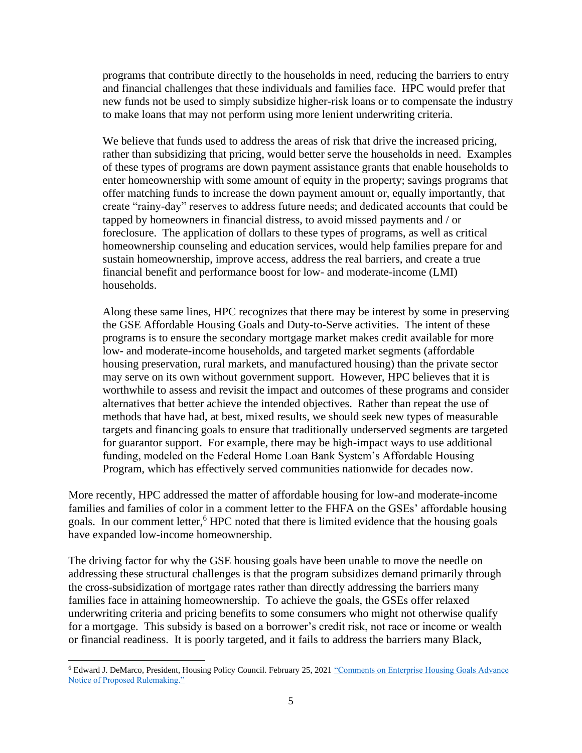programs that contribute directly to the households in need, reducing the barriers to entry and financial challenges that these individuals and families face. HPC would prefer that new funds not be used to simply subsidize higher-risk loans or to compensate the industry to make loans that may not perform using more lenient underwriting criteria.

We believe that funds used to address the areas of risk that drive the increased pricing, rather than subsidizing that pricing, would better serve the households in need. Examples of these types of programs are down payment assistance grants that enable households to enter homeownership with some amount of equity in the property; savings programs that offer matching funds to increase the down payment amount or, equally importantly, that create "rainy-day" reserves to address future needs; and dedicated accounts that could be tapped by homeowners in financial distress, to avoid missed payments and / or foreclosure. The application of dollars to these types of programs, as well as critical homeownership counseling and education services, would help families prepare for and sustain homeownership, improve access, address the real barriers, and create a true financial benefit and performance boost for low- and moderate-income (LMI) households.

Along these same lines, HPC recognizes that there may be interest by some in preserving the GSE Affordable Housing Goals and Duty-to-Serve activities. The intent of these programs is to ensure the secondary mortgage market makes credit available for more low- and moderate-income households, and targeted market segments (affordable housing preservation, rural markets, and manufactured housing) than the private sector may serve on its own without government support. However, HPC believes that it is worthwhile to assess and revisit the impact and outcomes of these programs and consider alternatives that better achieve the intended objectives. Rather than repeat the use of methods that have had, at best, mixed results, we should seek new types of measurable targets and financing goals to ensure that traditionally underserved segments are targeted for guarantor support. For example, there may be high-impact ways to use additional funding, modeled on the Federal Home Loan Bank System's Affordable Housing Program, which has effectively served communities nationwide for decades now.

More recently, HPC addressed the matter of affordable housing for low-and moderate-income families and families of color in a comment letter to the FHFA on the GSEs' affordable housing goals. In our comment letter, <sup>6</sup> HPC noted that there is limited evidence that the housing goals have expanded low-income homeownership.

The driving factor for why the GSE housing goals have been unable to move the needle on addressing these structural challenges is that the program subsidizes demand primarily through the cross-subsidization of mortgage rates rather than directly addressing the barriers many families face in attaining homeownership. To achieve the goals, the GSEs offer relaxed underwriting criteria and pricing benefits to some consumers who might not otherwise qualify for a mortgage. This subsidy is based on a borrower's credit risk, not race or income or wealth or financial readiness. It is poorly targeted, and it fails to address the barriers many Black,

<sup>6</sup> Edward J. DeMarco, President, Housing Policy Council. February 25, 202[1 "Comments on Enterprise Housing Goals Advance](https://fbb0ab68-1668-4db6-9365-051035190b71.filesusr.com/ugd/d315af_7d0ca99414ae48cc923c25fd152d2042.pdf)  [Notice of Proposed Rulemaking."](https://fbb0ab68-1668-4db6-9365-051035190b71.filesusr.com/ugd/d315af_7d0ca99414ae48cc923c25fd152d2042.pdf)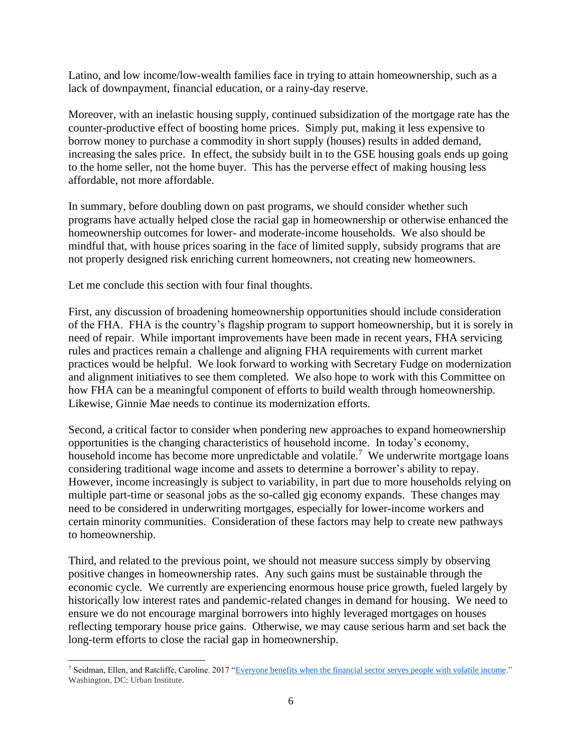Latino, and low income/low-wealth families face in trying to attain homeownership, such as a lack of downpayment, financial education, or a rainy-day reserve.

Moreover, with an inelastic housing supply, continued subsidization of the mortgage rate has the counter-productive effect of boosting home prices. Simply put, making it less expensive to borrow money to purchase a commodity in short supply (houses) results in added demand, increasing the sales price. In effect, the subsidy built in to the GSE housing goals ends up going to the home seller, not the home buyer. This has the perverse effect of making housing less affordable, not more affordable.

In summary, before doubling down on past programs, we should consider whether such programs have actually helped close the racial gap in homeownership or otherwise enhanced the homeownership outcomes for lower- and moderate-income households. We also should be mindful that, with house prices soaring in the face of limited supply, subsidy programs that are not properly designed risk enriching current homeowners, not creating new homeowners.

Let me conclude this section with four final thoughts.

First, any discussion of broadening homeownership opportunities should include consideration of the FHA. FHA is the country's flagship program to support homeownership, but it is sorely in need of repair. While important improvements have been made in recent years, FHA servicing rules and practices remain a challenge and aligning FHA requirements with current market practices would be helpful. We look forward to working with Secretary Fudge on modernization and alignment initiatives to see them completed. We also hope to work with this Committee on how FHA can be a meaningful component of efforts to build wealth through homeownership. Likewise, Ginnie Mae needs to continue its modernization efforts.

Second, a critical factor to consider when pondering new approaches to expand homeownership opportunities is the changing characteristics of household income. In today's economy, household income has become more unpredictable and volatile.<sup>7</sup> We underwrite mortgage loans considering traditional wage income and assets to determine a borrower's ability to repay. However, income increasingly is subject to variability, in part due to more households relying on multiple part-time or seasonal jobs as the so-called gig economy expands. These changes may need to be considered in underwriting mortgages, especially for lower-income workers and certain minority communities. Consideration of these factors may help to create new pathways to homeownership.

Third, and related to the previous point, we should not measure success simply by observing positive changes in homeownership rates. Any such gains must be sustainable through the economic cycle. We currently are experiencing enormous house price growth, fueled largely by historically low interest rates and pandemic-related changes in demand for housing. We need to ensure we do not encourage marginal borrowers into highly leveraged mortgages on houses reflecting temporary house price gains. Otherwise, we may cause serious harm and set back the long-term efforts to close the racial gap in homeownership.

<sup>7</sup> Seidman, Ellen, and Ratcliffe, Caroline. 2017 ["Everyone benefits when the financial sector serves people with volatile income."](https://www.urban.org/urban-wire/everyone-benefits-when-financial-sector-serves-people-volatile-income) Washington, DC: Urban Institute.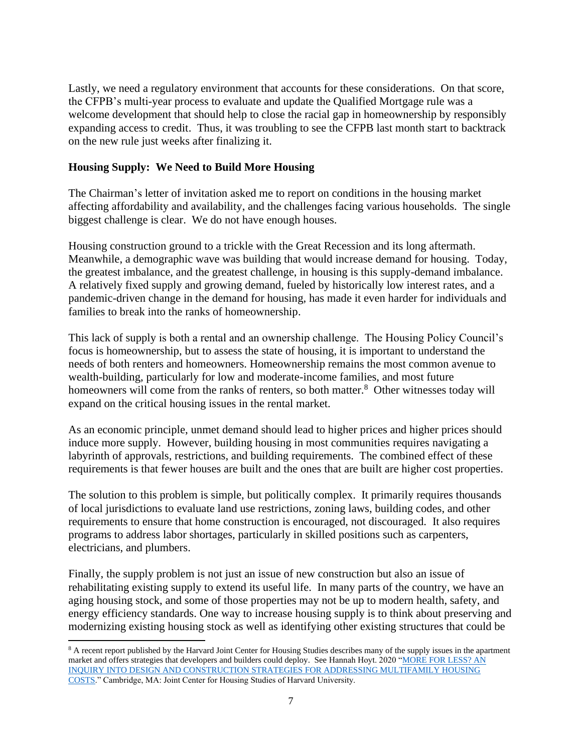Lastly, we need a regulatory environment that accounts for these considerations. On that score, the CFPB's multi-year process to evaluate and update the Qualified Mortgage rule was a welcome development that should help to close the racial gap in homeownership by responsibly expanding access to credit. Thus, it was troubling to see the CFPB last month start to backtrack on the new rule just weeks after finalizing it.

#### **Housing Supply: We Need to Build More Housing**

The Chairman's letter of invitation asked me to report on conditions in the housing market affecting affordability and availability, and the challenges facing various households. The single biggest challenge is clear. We do not have enough houses.

Housing construction ground to a trickle with the Great Recession and its long aftermath. Meanwhile, a demographic wave was building that would increase demand for housing. Today, the greatest imbalance, and the greatest challenge, in housing is this supply-demand imbalance. A relatively fixed supply and growing demand, fueled by historically low interest rates, and a pandemic-driven change in the demand for housing, has made it even harder for individuals and families to break into the ranks of homeownership.

This lack of supply is both a rental and an ownership challenge. The Housing Policy Council's focus is homeownership, but to assess the state of housing, it is important to understand the needs of both renters and homeowners. Homeownership remains the most common avenue to wealth-building, particularly for low and moderate-income families, and most future homeowners will come from the ranks of renters, so both matter.<sup>8</sup> Other witnesses today will expand on the critical housing issues in the rental market.

As an economic principle, unmet demand should lead to higher prices and higher prices should induce more supply. However, building housing in most communities requires navigating a labyrinth of approvals, restrictions, and building requirements. The combined effect of these requirements is that fewer houses are built and the ones that are built are higher cost properties.

The solution to this problem is simple, but politically complex. It primarily requires thousands of local jurisdictions to evaluate land use restrictions, zoning laws, building codes, and other requirements to ensure that home construction is encouraged, not discouraged. It also requires programs to address labor shortages, particularly in skilled positions such as carpenters, electricians, and plumbers.

Finally, the supply problem is not just an issue of new construction but also an issue of rehabilitating existing supply to extend its useful life. In many parts of the country, we have an aging housing stock, and some of those properties may not be up to modern health, safety, and energy efficiency standards. One way to increase housing supply is to think about preserving and modernizing existing housing stock as well as identifying other existing structures that could be

<sup>&</sup>lt;sup>8</sup> A recent report published by the Harvard Joint Center for Housing Studies describes many of the supply issues in the apartment market and offers strategies that developers and builders could deploy. See Hannah Hoyt. 2020 ["MORE FOR LESS? AN](https://www.jchs.harvard.edu/research-areas/working-papers/more-less-inquiry-design-and-construction-strategies-addressing)  [INQUIRY INTO DESIGN AND CONSTRUCTION STRATEGIES FOR ADDRESSING MULTIFAMILY HOUSING](https://www.jchs.harvard.edu/research-areas/working-papers/more-less-inquiry-design-and-construction-strategies-addressing)  [COSTS.](https://www.jchs.harvard.edu/research-areas/working-papers/more-less-inquiry-design-and-construction-strategies-addressing)" Cambridge, MA: Joint Center for Housing Studies of Harvard University.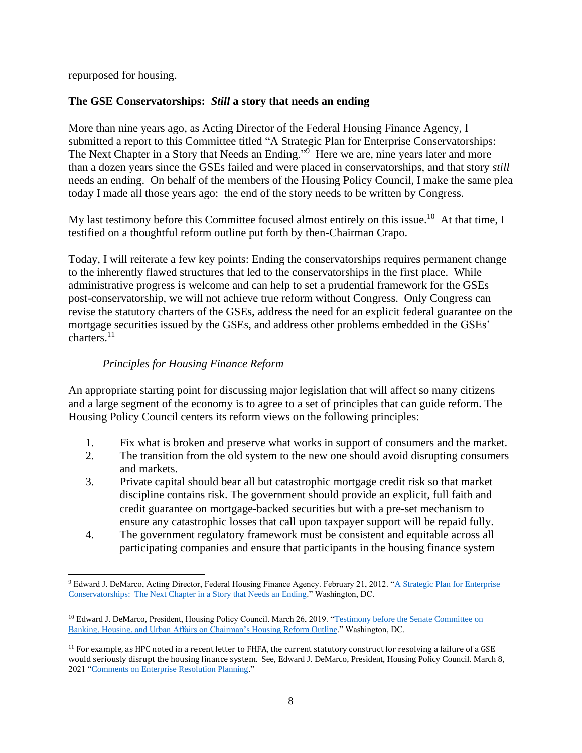repurposed for housing.

## **The GSE Conservatorships:** *Still* **a story that needs an ending**

More than nine years ago, as Acting Director of the Federal Housing Finance Agency, I submitted a report to this Committee titled "A Strategic Plan for Enterprise Conservatorships: The Next Chapter in a Story that Needs an Ending."<sup>9</sup> Here we are, nine years later and more than a dozen years since the GSEs failed and were placed in conservatorships, and that story *still* needs an ending. On behalf of the members of the Housing Policy Council, I make the same plea today I made all those years ago: the end of the story needs to be written by Congress.

My last testimony before this Committee focused almost entirely on this issue.<sup>10</sup> At that time, I testified on a thoughtful reform outline put forth by then-Chairman Crapo.

Today, I will reiterate a few key points: Ending the conservatorships requires permanent change to the inherently flawed structures that led to the conservatorships in the first place. While administrative progress is welcome and can help to set a prudential framework for the GSEs post-conservatorship, we will not achieve true reform without Congress. Only Congress can revise the statutory charters of the GSEs, address the need for an explicit federal guarantee on the mortgage securities issued by the GSEs, and address other problems embedded in the GSEs' charters.<sup>11</sup>

# *Principles for Housing Finance Reform*

An appropriate starting point for discussing major legislation that will affect so many citizens and a large segment of the economy is to agree to a set of principles that can guide reform. The Housing Policy Council centers its reform views on the following principles:

- 1. Fix what is broken and preserve what works in support of consumers and the market.
- 2. The transition from the old system to the new one should avoid disrupting consumers and markets.
- 3. Private capital should bear all but catastrophic mortgage credit risk so that market discipline contains risk. The government should provide an explicit, full faith and credit guarantee on mortgage-backed securities but with a pre-set mechanism to ensure any catastrophic losses that call upon taxpayer support will be repaid fully.
- 4. The government regulatory framework must be consistent and equitable across all participating companies and ensure that participants in the housing finance system

<sup>9</sup> Edward J. DeMarco, Acting Director, Federal Housing Finance Agency. February 21, 2012. ["A Strategic Plan for Enterprise](https://www.fhfa.gov/Media/PublicAffairs/PublicAffairsDocuments/2012letterStrategicPlanConservatorshipsFINAL.pdf)  [Conservatorships: The Next Chapter in a Story that Needs an Ending.](https://www.fhfa.gov/Media/PublicAffairs/PublicAffairsDocuments/2012letterStrategicPlanConservatorshipsFINAL.pdf)" Washington, DC.

<sup>&</sup>lt;sup>10</sup> Edward J. DeMarco, President, Housing Policy Council. March 26, 2019. "Testimony before the Senate Committee on [Banking, Housing, and Urban Affairs on Chairman's Housing Reform Outline.](https://www.banking.senate.gov/imo/media/doc/DeMarco%20Testimony%203-26-19.pdf)" Washington, DC.

 $11$  For example, as HPC noted in a recent letter to FHFA, the current statutory construct for resolving a failure of a GSE would seriously disrupt the housing finance system. See, Edward J. DeMarco, President, Housing Policy Council. March 8, 2021 ["Comments on Enterprise Resolution Planning.](https://fbb0ab68-1668-4db6-9365-051035190b71.filesusr.com/ugd/d315af_78ea2d37040b4cae8d356c1f6bd8924d.pdf)"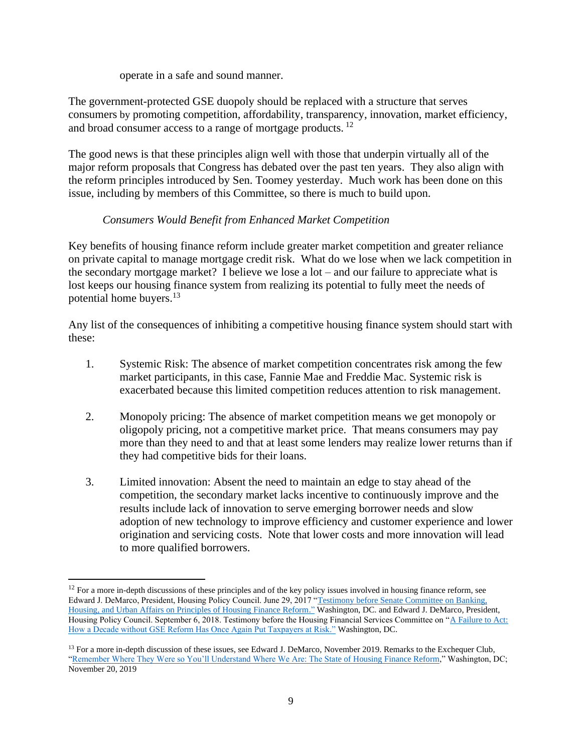operate in a safe and sound manner.

The government-protected GSE duopoly should be replaced with a structure that serves consumers by promoting competition, affordability, transparency, innovation, market efficiency, and broad consumer access to a range of mortgage products. <sup>12</sup>

The good news is that these principles align well with those that underpin virtually all of the major reform proposals that Congress has debated over the past ten years. They also align with the reform principles introduced by Sen. Toomey yesterday. Much work has been done on this issue, including by members of this Committee, so there is much to build upon.

#### *Consumers Would Benefit from Enhanced Market Competition*

Key benefits of housing finance reform include greater market competition and greater reliance on private capital to manage mortgage credit risk. What do we lose when we lack competition in the secondary mortgage market? I believe we lose a lot – and our failure to appreciate what is lost keeps our housing finance system from realizing its potential to fully meet the needs of potential home buyers.<sup>13</sup>

Any list of the consequences of inhibiting a competitive housing finance system should start with these:

- 1. Systemic Risk: The absence of market competition concentrates risk among the few market participants, in this case, Fannie Mae and Freddie Mac. Systemic risk is exacerbated because this limited competition reduces attention to risk management.
- 2. Monopoly pricing: The absence of market competition means we get monopoly or oligopoly pricing, not a competitive market price. That means consumers may pay more than they need to and that at least some lenders may realize lower returns than if they had competitive bids for their loans.
- 3. Limited innovation: Absent the need to maintain an edge to stay ahead of the competition, the secondary market lacks incentive to continuously improve and the results include lack of innovation to serve emerging borrower needs and slow adoption of new technology to improve efficiency and customer experience and lower origination and servicing costs. Note that lower costs and more innovation will lead to more qualified borrowers.

<sup>&</sup>lt;sup>12</sup> For a more in-depth discussions of these principles and of the key policy issues involved in housing finance reform, see Edward J. DeMarco, President, Housing Policy Council. June 29, 2017 ["Testimony before Senate Committee on Banking,](https://fbb0ab68-1668-4db6-9365-051035190b71.filesusr.com/ugd/d9eb0e_c00a4fd401aa4a34b106705a5e5c0a26.pdf)  [Housing, and Urban Affairs on Principles of Housing Finance Reform."](https://fbb0ab68-1668-4db6-9365-051035190b71.filesusr.com/ugd/d9eb0e_c00a4fd401aa4a34b106705a5e5c0a26.pdf) Washington, DC. and Edward J. DeMarco, President, Housing Policy Council. September 6, 2018. Testimony before the Housing Financial Services Committee on ["A Failure to Act:](https://fbb0ab68-1668-4db6-9365-051035190b71.filesusr.com/ugd/d9eb0e_a78d7dfa255941e4a72136f8b72c8f08.pdf)  [How a Decade without GSE Reform Has Once Again Put Taxpayers at Risk."](https://fbb0ab68-1668-4db6-9365-051035190b71.filesusr.com/ugd/d9eb0e_a78d7dfa255941e4a72136f8b72c8f08.pdf) Washington, DC.

<sup>&</sup>lt;sup>13</sup> For a more in-depth discussion of these issues, see Edward J. DeMarco, November 2019. Remarks to the Exchequer Club, ["Remember Where They Were so You'll Understand Where We Are: The State of Housing Finance Reform,"](https://fbb0ab68-1668-4db6-9365-051035190b71.filesusr.com/ugd/d315af_71af055e04034e76bf1c75d4296b61cd.pdf) Washington, DC; November 20, 2019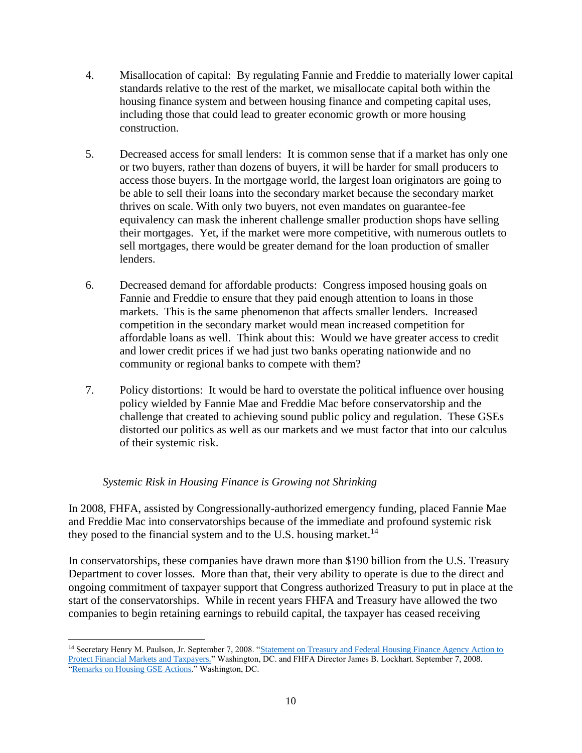- 4. Misallocation of capital: By regulating Fannie and Freddie to materially lower capital standards relative to the rest of the market, we misallocate capital both within the housing finance system and between housing finance and competing capital uses, including those that could lead to greater economic growth or more housing construction.
- 5. Decreased access for small lenders: It is common sense that if a market has only one or two buyers, rather than dozens of buyers, it will be harder for small producers to access those buyers. In the mortgage world, the largest loan originators are going to be able to sell their loans into the secondary market because the secondary market thrives on scale. With only two buyers, not even mandates on guarantee-fee equivalency can mask the inherent challenge smaller production shops have selling their mortgages. Yet, if the market were more competitive, with numerous outlets to sell mortgages, there would be greater demand for the loan production of smaller lenders.
- 6. Decreased demand for affordable products: Congress imposed housing goals on Fannie and Freddie to ensure that they paid enough attention to loans in those markets. This is the same phenomenon that affects smaller lenders. Increased competition in the secondary market would mean increased competition for affordable loans as well. Think about this: Would we have greater access to credit and lower credit prices if we had just two banks operating nationwide and no community or regional banks to compete with them?
- 7. Policy distortions: It would be hard to overstate the political influence over housing policy wielded by Fannie Mae and Freddie Mac before conservatorship and the challenge that created to achieving sound public policy and regulation. These GSEs distorted our politics as well as our markets and we must factor that into our calculus of their systemic risk.

### *Systemic Risk in Housing Finance is Growing not Shrinking*

In 2008, FHFA, assisted by Congressionally-authorized emergency funding, placed Fannie Mae and Freddie Mac into conservatorships because of the immediate and profound systemic risk they posed to the financial system and to the U.S. housing market.<sup>14</sup>

In conservatorships, these companies have drawn more than \$190 billion from the U.S. Treasury Department to cover losses. More than that, their very ability to operate is due to the direct and ongoing commitment of taxpayer support that Congress authorized Treasury to put in place at the start of the conservatorships. While in recent years FHFA and Treasury have allowed the two companies to begin retaining earnings to rebuild capital, the taxpayer has ceased receiving

<sup>&</sup>lt;sup>14</sup> Secretary Henry M. Paulson, Jr. September 7, 2008. "Statement on Treasury and Federal Housing Finance Agency Action to [Protect Financial Markets and Taxpayers."](https://www.treasury.gov/press-center/press-releases/pages/hp1129.aspx) Washington, DC. and FHFA Director James B. Lockhart. September 7, 2008. ["Remarks on Housing GSE Actions."](https://www.treasury.gov/press-center/press-releases/Documents/fhfa_statement_090708hp1128.pdf) Washington, DC.